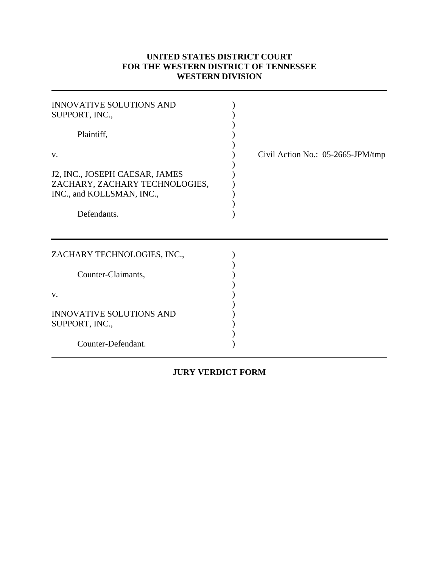## **UNITED STATES DISTRICT COURT FOR THE WESTERN DISTRICT OF TENNESSEE WESTERN DIVISION**

 $\overline{a}$ 

| <b>INNOVATIVE SOLUTIONS AND</b><br>SUPPORT, INC.,<br>Plaintiff,                                     |                                      |
|-----------------------------------------------------------------------------------------------------|--------------------------------------|
| V.<br>J2, INC., JOSEPH CAESAR, JAMES<br>ZACHARY, ZACHARY TECHNOLOGIES,<br>INC., and KOLLSMAN, INC., | Civil Action No.: $05-2665$ -JPM/tmp |
| Defendants.                                                                                         |                                      |
| ZACHARY TECHNOLOGIES, INC.,                                                                         |                                      |
| Counter-Claimants,<br>V.                                                                            |                                      |
| <b>INNOVATIVE SOLUTIONS AND</b><br>SUPPORT, INC.,                                                   |                                      |
| Counter-Defendant.                                                                                  |                                      |

## **JURY VERDICT FORM**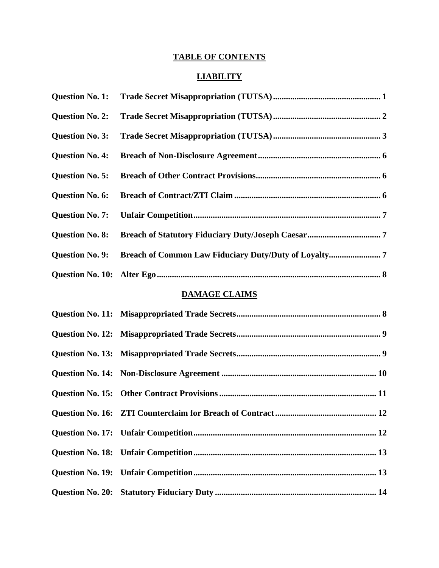# **TABLE OF CONTENTS**

# **LIABILITY**

| <b>Question No. 1:</b> |  |
|------------------------|--|
| <b>Question No. 2:</b> |  |
| <b>Question No. 3:</b> |  |
| <b>Question No. 4:</b> |  |
| <b>Question No. 5:</b> |  |
| <b>Question No. 6:</b> |  |
| <b>Question No. 7:</b> |  |
| <b>Question No. 8:</b> |  |
| <b>Question No. 9:</b> |  |
|                        |  |

## **DAMAGE CLAIMS**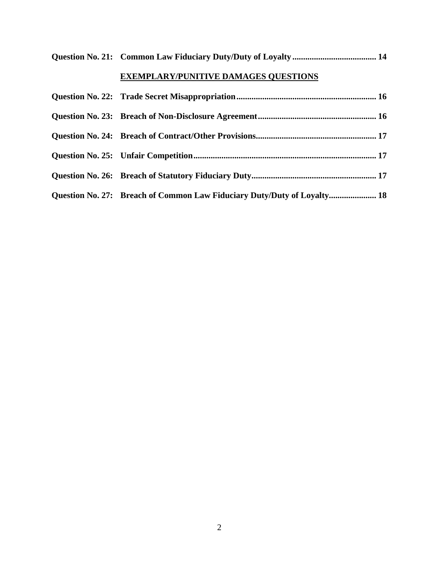| <b>EXEMPLARY/PUNITIVE DAMAGES QUESTIONS</b> |
|---------------------------------------------|
|                                             |
|                                             |
|                                             |
|                                             |
|                                             |

| Question No. 27: Breach of Common Law Fiduciary Duty/Duty of Loyalty 18 |  |
|-------------------------------------------------------------------------|--|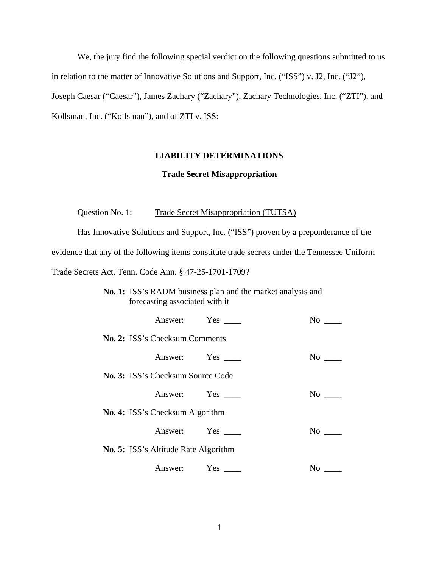We, the jury find the following special verdict on the following questions submitted to us in relation to the matter of Innovative Solutions and Support, Inc. ("ISS") v. J2, Inc. ("J2"), Joseph Caesar ("Caesar"), James Zachary ("Zachary"), Zachary Technologies, Inc. ("ZTI"), and Kollsman, Inc. ("Kollsman"), and of ZTI v. ISS:

#### **LIABILITY DETERMINATIONS**

#### **Trade Secret Misappropriation**

Question No. 1: Trade Secret Misappropriation (TUTSA)

Has Innovative Solutions and Support, Inc. ("ISS") proven by a preponderance of the evidence that any of the following items constitute trade secrets under the Tennessee Uniform Trade Secrets Act, Tenn. Code Ann. § 47-25-1701-1709?

**No. 1:** ISS's RADM business plan and the market analysis and forecasting associated with it

|                                          | Answer: Yes | No    |
|------------------------------------------|-------------|-------|
| No. 2: ISS's Checksum Comments           |             |       |
|                                          | Answer: Yes | No no |
| <b>No. 3: ISS's Checksum Source Code</b> |             |       |
|                                          | Answer: Yes | No no |
| <b>No. 4:</b> ISS's Checksum Algorithm   |             |       |
|                                          | Answer: Yes | No r  |
| No. 5: ISS's Altitude Rate Algorithm     |             |       |
|                                          | Answer: Yes | No    |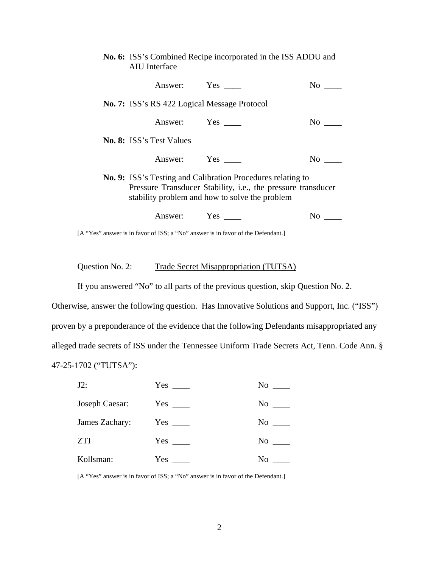| No. 6: ISS's Combined Recipe incorporated in the ISS ADDU and<br>AIU Interface |                                                                                                                                                                               |                      |
|--------------------------------------------------------------------------------|-------------------------------------------------------------------------------------------------------------------------------------------------------------------------------|----------------------|
| Answer: Yes                                                                    |                                                                                                                                                                               | No                   |
| No. 7: ISS's RS 422 Logical Message Protocol                                   |                                                                                                                                                                               |                      |
| Answer: Yes                                                                    |                                                                                                                                                                               | No r                 |
| <b>No. 8:</b> ISS's Test Values                                                |                                                                                                                                                                               |                      |
| Answer: Yes                                                                    |                                                                                                                                                                               | No the North Street. |
|                                                                                | No. 9: ISS's Testing and Calibration Procedures relating to<br>Pressure Transducer Stability, i.e., the pressure transducer<br>stability problem and how to solve the problem |                      |
| Answer: Yes                                                                    |                                                                                                                                                                               | No -                 |
|                                                                                | [A "Yes" answer is in favor of ISS; a "No" answer is in favor of the Defendant.]                                                                                              |                      |

Question No. 2: Trade Secret Misappropriation (TUTSA)

If you answered "No" to all parts of the previous question, skip Question No. 2.

Otherwise, answer the following question. Has Innovative Solutions and Support, Inc. ("ISS") proven by a preponderance of the evidence that the following Defendants misappropriated any alleged trade secrets of ISS under the Tennessee Uniform Trade Secrets Act, Tenn. Code Ann. § 47-25-1702 ("TUTSA"):

| $J2$ :         | $Yes \_\_$ | No        |
|----------------|------------|-----------|
| Joseph Caesar: | $Yes \_\_$ | $No \_\_$ |
| James Zachary: |            | No        |
| <b>ZTI</b>     |            | $No \_\_$ |
| Kollsman:      | $Yes \_\_$ | No.       |

[A "Yes" answer is in favor of ISS; a "No" answer is in favor of the Defendant.]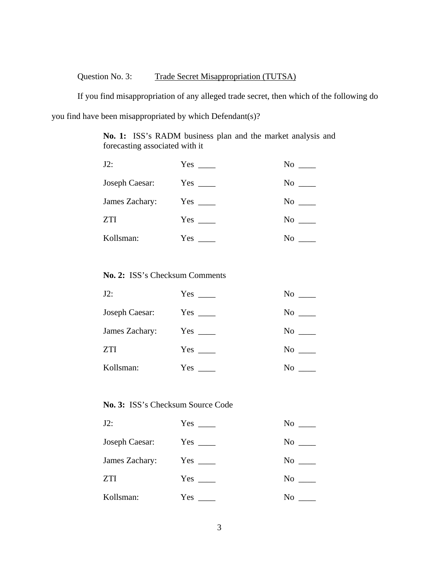# Question No. 3: Trade Secret Misappropriation (TUTSA)

If you find misappropriation of any alleged trade secret, then which of the following do you find have been misappropriated by which Defendant(s)?

> **No. 1:** ISS's RADM business plan and the market analysis and forecasting associated with it

| $J2$ :         | $Yes \_\_$ | No        |
|----------------|------------|-----------|
| Joseph Caesar: | $Yes \_\_$ | $No \_\_$ |
| James Zachary: | $Yes \_\_$ | No        |
| <b>ZTI</b>     | $Yes \_\_$ | No        |
| Kollsman:      | $Yes \_\_$ | No        |

### **No. 2:** ISS's Checksum Comments

| $J2$ :         | $Yes \_\_$ | No |
|----------------|------------|----|
| Joseph Caesar: | $Yes \_\_$ | No |
| James Zachary: |            | No |
| ZTI            | $Yes \_\_$ | No |
| Kollsman:      | $Yes \_\_$ | No |

## **No. 3:** ISS's Checksum Source Code

| $J2$ :         | $Yes \_\_$ | No                    |
|----------------|------------|-----------------------|
| Joseph Caesar: |            | $\mathrm{No} \perp$   |
| James Zachary: | $Yes \_\_$ | $\mathrm{No} \_\_\_\$ |
| <b>ZTI</b>     | $Yes \_\_$ | $\mathrm{No}$ $\_\$   |
| Kollsman:      |            | No.                   |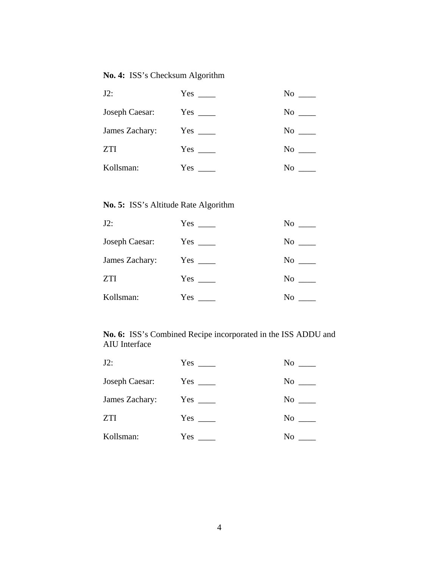## **No. 4:** ISS's Checksum Algorithm

| J2:            | $Yes \_\_$ | No  |
|----------------|------------|-----|
| Joseph Caesar: | $Yes \_\_$ | No  |
| James Zachary: | $Yes \_\_$ | No  |
| ZTI            | $Yes \_\_$ | No  |
| Kollsman:      | $Yes \_\_$ | No. |

## **No. 5:** ISS's Altitude Rate Algorithm

| $J2$ :         | $Yes \_\_$ | No    |
|----------------|------------|-------|
| Joseph Caesar: |            | No    |
| James Zachary: | $Yes \_\_$ | No no |
| <b>ZTI</b>     | $Yes \_\_$ | No    |
| Kollsman:      | $Yes \_\_$ | No    |

## **No. 6:** ISS's Combined Recipe incorporated in the ISS ADDU and AIU Interface

| $J2$ :         |            | No          |
|----------------|------------|-------------|
| Joseph Caesar: | $Yes \_\_$ | $No \_\_$   |
| James Zachary: |            | No results. |
| <b>ZTI</b>     | $Yes \_\_$ | No          |
| Kollsman:      | Yes        | No          |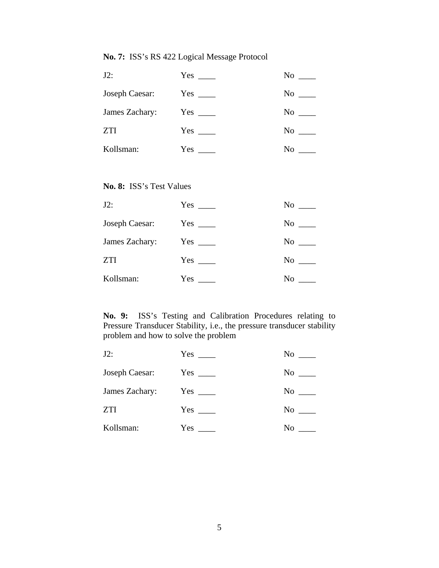## **No. 7:** ISS's RS 422 Logical Message Protocol

| $J2$ :         | $Yes \_\_$ | No  |
|----------------|------------|-----|
| Joseph Caesar: | $Yes \_\_$ | No  |
| James Zachary: | $Yes \_\_$ | No  |
| <b>ZTI</b>     |            | No  |
| Kollsman:      | $Yes \_\_$ | No. |

## **No. 8:** ISS's Test Values

| $J2$ :         | $Yes \_\_$ | No |
|----------------|------------|----|
| Joseph Caesar: | $Yes \_\_$ | No |
| James Zachary: |            | No |
| <b>ZTI</b>     | $Yes \_\_$ | No |
| Kollsman:      |            | No |

**No. 9:** ISS's Testing and Calibration Procedures relating to Pressure Transducer Stability, i.e., the pressure transducer stability problem and how to solve the problem

| $J2$ :         | Yes        | No          |
|----------------|------------|-------------|
| Joseph Caesar: |            | No          |
| James Zachary: | $Yes \_\_$ | No          |
| <b>ZTI</b>     | $Yes \_\_$ | No          |
| Kollsman:      | $Yes \_\_$ | No results. |
|                |            |             |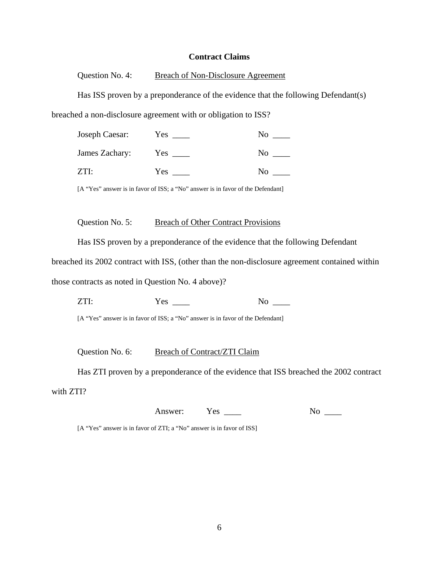#### **Contract Claims**

Question No. 4: Breach of Non-Disclosure Agreement

Has ISS proven by a preponderance of the evidence that the following Defendant(s)

breached a non-disclosure agreement with or obligation to ISS?

|      | Joseph Caesar: | Yes |    |
|------|----------------|-----|----|
|      | James Zachary: | Yes | N0 |
| ZTI: |                | Yes | ง∩ |

[A "Yes" answer is in favor of ISS; a "No" answer is in favor of the Defendant]

Question No. 5: Breach of Other Contract Provisions

Has ISS proven by a preponderance of the evidence that the following Defendant

breached its 2002 contract with ISS, (other than the non-disclosure agreement contained within

those contracts as noted in Question No. 4 above)?

ZTI: Yes \_\_\_\_ No \_\_\_\_

[A "Yes" answer is in favor of ISS; a "No" answer is in favor of the Defendant]

Question No. 6: Breach of Contract/ZTI Claim

Has ZTI proven by a preponderance of the evidence that ISS breached the 2002 contract

with ZTI?

Answer: Yes \_\_\_\_ No \_\_\_

[A "Yes" answer is in favor of ZTI; a "No" answer is in favor of ISS]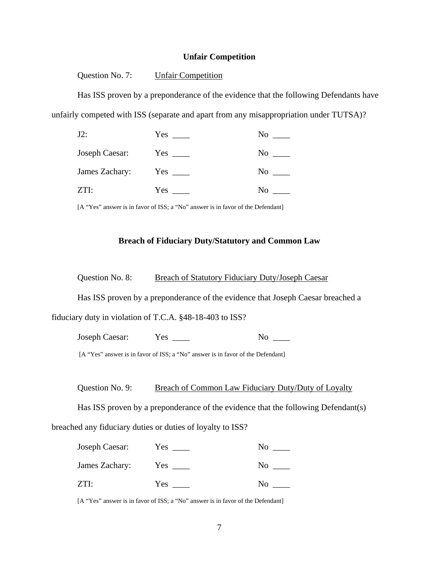### **Unfair Competition**

Question No. 7: Unfair Competition

Has ISS proven by a preponderance of the evidence that the following Defendants have unfairly competed with ISS (separate and apart from any misappropriation under TUTSA)?

| $J2$ :         | Yes        | No        |
|----------------|------------|-----------|
| Joseph Caesar: | $Yes \_\_$ | No.       |
| James Zachary: |            | $No \_\_$ |
| ZTI:           | Yes        | No        |

[A "Yes" answer is in favor of ISS; a "No" answer is in favor of the Defendant]

#### **Breach of Fiduciary Duty/Statutory and Common Law**

Question No. 8: Breach of Statutory Fiduciary Duty/Joseph Caesar

Has ISS proven by a preponderance of the evidence that Joseph Caesar breached a

fiduciary duty in violation of T.C.A. §48-18-403 to ISS?

Joseph Caesar: Yes \_\_\_\_ No \_\_\_\_

[A "Yes" answer is in favor of ISS; a "No" answer is in favor of the Defendant]

Question No. 9: Breach of Common Law Fiduciary Duty/Duty of Loyalty

Has ISS proven by a preponderance of the evidence that the following Defendant(s) breached any fiduciary duties or duties of loyalty to ISS?

| Joseph Caesar: | Yes |    |
|----------------|-----|----|
| James Zachary: | Yes | NΩ |
| ZTI            | Yes | ∩ו |

[A "Yes" answer is in favor of ISS; a "No" answer is in favor of the Defendant]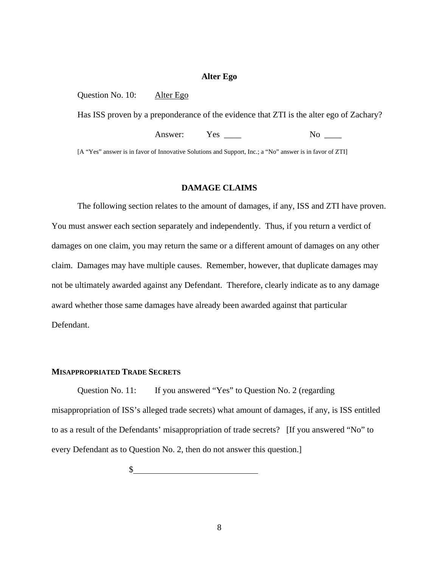#### **Alter Ego**

Question No. 10: Alter Ego

Has ISS proven by a preponderance of the evidence that ZTI is the alter ego of Zachary?

Answer: Yes \_\_\_\_ No \_\_\_\_

[A "Yes" answer is in favor of Innovative Solutions and Support, Inc.; a "No" answer is in favor of ZTI]

#### **DAMAGE CLAIMS**

The following section relates to the amount of damages, if any, ISS and ZTI have proven. You must answer each section separately and independently. Thus, if you return a verdict of damages on one claim, you may return the same or a different amount of damages on any other claim. Damages may have multiple causes. Remember, however, that duplicate damages may not be ultimately awarded against any Defendant. Therefore, clearly indicate as to any damage award whether those same damages have already been awarded against that particular Defendant.

### **MISAPPROPRIATED TRADE SECRETS**

Question No. 11: If you answered "Yes" to Question No. 2 (regarding misappropriation of ISS's alleged trade secrets) what amount of damages, if any, is ISS entitled to as a result of the Defendants' misappropriation of trade secrets? [If you answered "No" to every Defendant as to Question No. 2, then do not answer this question.]

 $\mathcal{S}_-$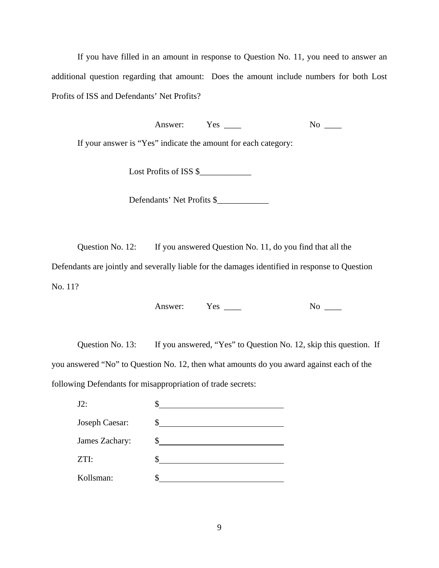If you have filled in an amount in response to Question No. 11, you need to answer an additional question regarding that amount: Does the amount include numbers for both Lost Profits of ISS and Defendants' Net Profits?

Answer: Yes \_\_\_\_ No \_\_\_

If your answer is "Yes" indicate the amount for each category:

Lost Profits of ISS \$\_\_\_\_\_\_\_\_\_\_\_\_

Defendants' Net Profits \$

Question No. 12: If you answered Question No. 11, do you find that all the

Defendants are jointly and severally liable for the damages identified in response to Question No. 11?

Answer: Yes \_\_\_\_ No \_\_\_

Question No. 13: If you answered, "Yes" to Question No. 12, skip this question. If you answered "No" to Question No. 12, then what amounts do you award against each of the following Defendants for misappropriation of trade secrets:

| $J2$ :         |  |
|----------------|--|
| Joseph Caesar: |  |
| James Zachary: |  |
| ZTI:           |  |
| Kollsman:      |  |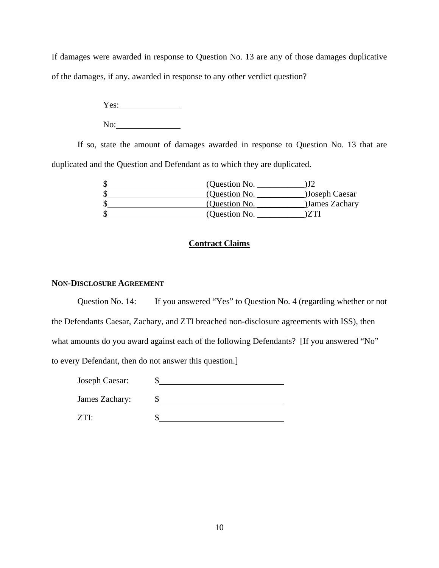If damages were awarded in response to Question No. 13 are any of those damages duplicative of the damages, if any, awarded in response to any other verdict question?

> Yes: No:

 If so, state the amount of damages awarded in response to Question No. 13 that are duplicated and the Question and Defendant as to which they are duplicated.

| (Question No. |                |
|---------------|----------------|
| (Question No. | )Joseph Caesar |
| (Question No. | James Zachary  |
| (Ouestion No. |                |

## **Contract Claims**

#### **NON-DISCLOSURE AGREEMENT**

Question No. 14: If you answered "Yes" to Question No. 4 (regarding whether or not the Defendants Caesar, Zachary, and ZTI breached non-disclosure agreements with ISS), then what amounts do you award against each of the following Defendants? [If you answered "No" to every Defendant, then do not answer this question.]

Joseph Caesar: \$

James Zachary: \$

 $ZTI:$   $\qquad \qquad$   $\qquad \qquad$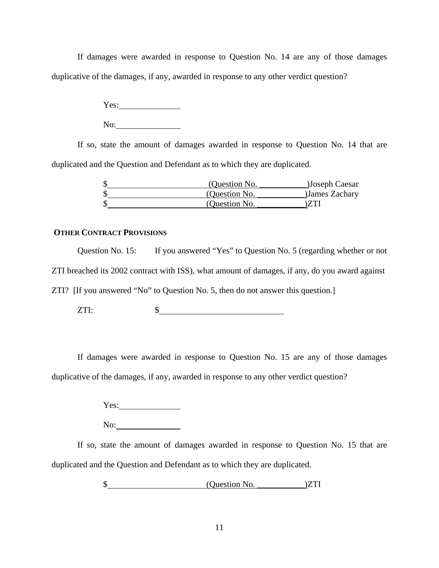If damages were awarded in response to Question No. 14 are any of those damages duplicative of the damages, if any, awarded in response to any other verdict question?

> Yes: No:

 If so, state the amount of damages awarded in response to Question No. 14 that are duplicated and the Question and Defendant as to which they are duplicated.

| (Question No. | Joseph Caesar  |
|---------------|----------------|
| (Question No. | )James Zachary |
| (Question No. |                |

## **OTHER CONTRACT PROVISIONS**

Question No. 15: If you answered "Yes" to Question No. 5 (regarding whether or not ZTI breached its 2002 contract with ISS), what amount of damages, if any, do you award against ZTI? [If you answered "No" to Question No. 5, then do not answer this question.]

 $ZTI:$   $\qquad \qquad$   $\qquad \qquad$ 

 If damages were awarded in response to Question No. 15 are any of those damages duplicative of the damages, if any, awarded in response to any other verdict question?

Yes:

No:

 If so, state the amount of damages awarded in response to Question No. 15 that are duplicated and the Question and Defendant as to which they are duplicated.

\$ (Question No. \_\_\_\_\_\_\_\_\_\_\_)ZTI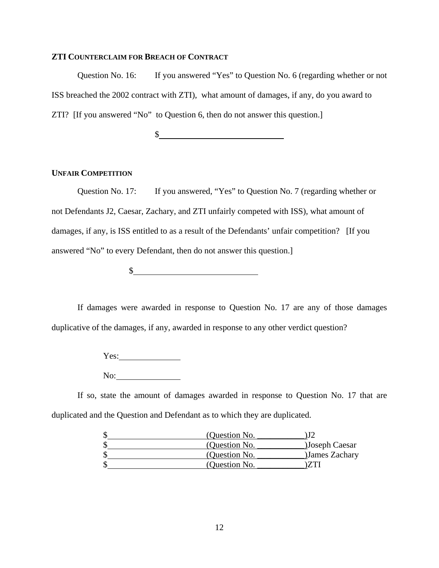#### **ZTI COUNTERCLAIM FOR BREACH OF CONTRACT**

Question No. 16: If you answered "Yes" to Question No. 6 (regarding whether or not ISS breached the 2002 contract with ZTI), what amount of damages, if any, do you award to ZTI? [If you answered "No" to Question 6, then do not answer this question.]

 $\mathcal{S}_{-}$ 

#### **UNFAIR COMPETITION**

Question No. 17: If you answered, "Yes" to Question No. 7 (regarding whether or not Defendants J2, Caesar, Zachary, and ZTI unfairly competed with ISS), what amount of damages, if any, is ISS entitled to as a result of the Defendants' unfair competition? [If you answered "No" to every Defendant, then do not answer this question.]

 $\mathcal{S}_-$ 

If damages were awarded in response to Question No. 17 are any of those damages duplicative of the damages, if any, awarded in response to any other verdict question?

Yes:

No:

 If so, state the amount of damages awarded in response to Question No. 17 that are duplicated and the Question and Defendant as to which they are duplicated.

| (Question No. |                |
|---------------|----------------|
| (Question No. | )Joseph Caesar |
| (Question No. | James Zachary  |
| (Ouestion No. |                |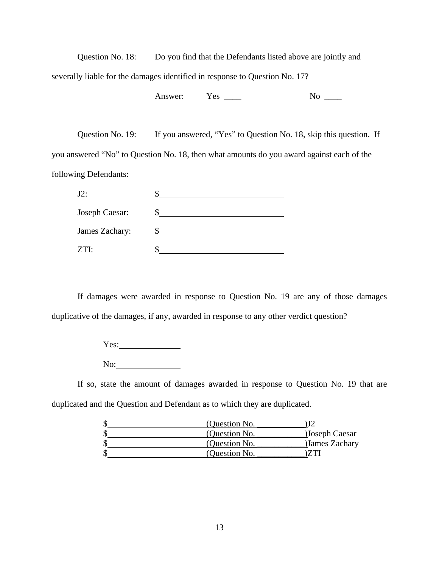Question No. 18: Do you find that the Defendants listed above are jointly and severally liable for the damages identified in response to Question No. 17?

Answer: Yes \_\_\_\_ No \_\_\_

Question No. 19: If you answered, "Yes" to Question No. 18, skip this question. If you answered "No" to Question No. 18, then what amounts do you award against each of the following Defendants:

| $J2$ :         |  |
|----------------|--|
| Joseph Caesar: |  |
| James Zachary: |  |
| ZTI:           |  |

If damages were awarded in response to Question No. 19 are any of those damages duplicative of the damages, if any, awarded in response to any other verdict question?

> Yes: 1998-1999 Messing Services 2010 No:

 If so, state the amount of damages awarded in response to Question No. 19 that are duplicated and the Question and Defendant as to which they are duplicated.

| (Question No. |                |
|---------------|----------------|
| (Question No. | )Joseph Caesar |
| (Question No. | James Zachary  |
| (Question No. |                |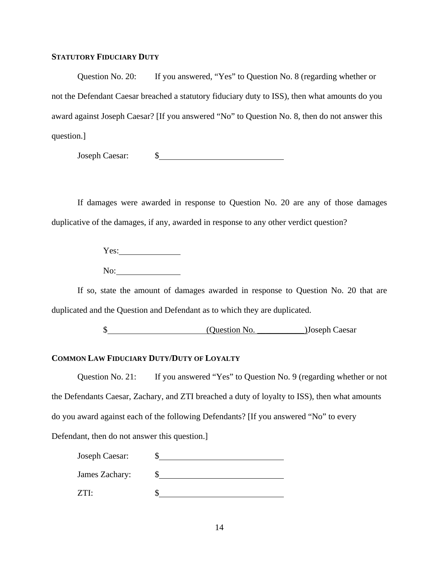#### **STATUTORY FIDUCIARY DUTY**

Question No. 20: If you answered, "Yes" to Question No. 8 (regarding whether or not the Defendant Caesar breached a statutory fiduciary duty to ISS), then what amounts do you award against Joseph Caesar? [If you answered "No" to Question No. 8, then do not answer this question.]

Joseph Caesar: \$

 If damages were awarded in response to Question No. 20 are any of those damages duplicative of the damages, if any, awarded in response to any other verdict question?

> Yes: No:

 If so, state the amount of damages awarded in response to Question No. 20 that are duplicated and the Question and Defendant as to which they are duplicated.

\$ (Question No. \_\_\_\_\_\_\_\_\_\_\_)Joseph Caesar

## **COMMON LAW FIDUCIARY DUTY/DUTY OF LOYALTY**

Question No. 21: If you answered "Yes" to Question No. 9 (regarding whether or not the Defendants Caesar, Zachary, and ZTI breached a duty of loyalty to ISS), then what amounts do you award against each of the following Defendants? [If you answered "No" to every Defendant, then do not answer this question.]

| Joseph Caesar: |  |
|----------------|--|
| James Zachary: |  |
| ZTI.           |  |
|                |  |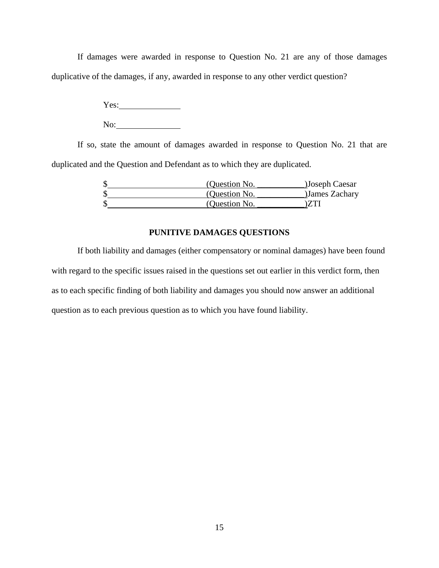If damages were awarded in response to Question No. 21 are any of those damages duplicative of the damages, if any, awarded in response to any other verdict question?

> Yes: No:

 If so, state the amount of damages awarded in response to Question No. 21 that are duplicated and the Question and Defendant as to which they are duplicated.

| (Question No. | )Joseph Caesar |
|---------------|----------------|
| (Question No. | James Zachary  |
| (Question No. |                |

## **PUNITIVE DAMAGES QUESTIONS**

If both liability and damages (either compensatory or nominal damages) have been found with regard to the specific issues raised in the questions set out earlier in this verdict form, then as to each specific finding of both liability and damages you should now answer an additional question as to each previous question as to which you have found liability.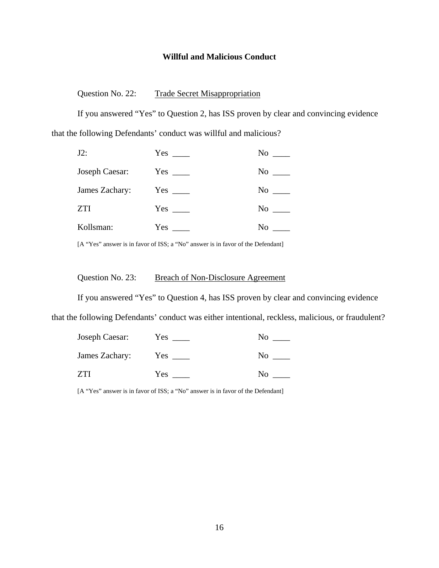#### **Willful and Malicious Conduct**

Question No. 22: Trade Secret Misappropriation

If you answered "Yes" to Question 2, has ISS proven by clear and convincing evidence that the following Defendants' conduct was willful and malicious?

| $J2$ :         | Yes        | No  |
|----------------|------------|-----|
| Joseph Caesar: | $Yes \_\_$ | No  |
| James Zachary: | $Yes \_\_$ | No. |
| <b>ZTI</b>     | $Yes \_\_$ | No  |
| Kollsman:      | <b>Yes</b> | No  |

[A "Yes" answer is in favor of ISS; a "No" answer is in favor of the Defendant]

## Question No. 23: Breach of Non-Disclosure Agreement

If you answered "Yes" to Question 4, has ISS proven by clear and convincing evidence that the following Defendants' conduct was either intentional, reckless, malicious, or fraudulent?

| Joseph Caesar: | Y es | Nο             |
|----------------|------|----------------|
| James Zachary: | Yes  | N <sub>0</sub> |
| 7TI            | Yes  | Nο             |

[A "Yes" answer is in favor of ISS; a "No" answer is in favor of the Defendant]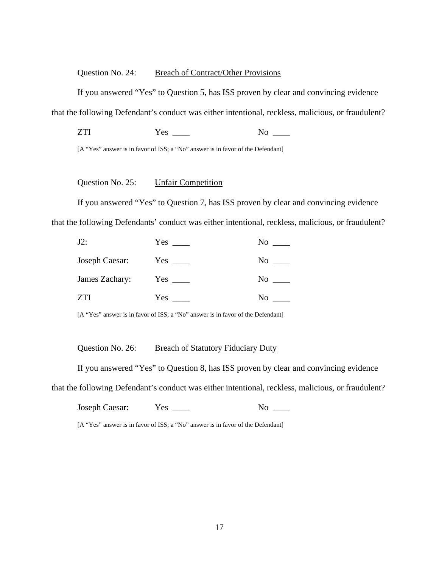#### Question No. 24: Breach of Contract/Other Provisions

If you answered "Yes" to Question 5, has ISS proven by clear and convincing evidence

that the following Defendant's conduct was either intentional, reckless, malicious, or fraudulent?

ZTI Yes \_\_\_\_ No \_\_\_\_

[A "Yes" answer is in favor of ISS; a "No" answer is in favor of the Defendant]

## Question No. 25: Unfair Competition

If you answered "Yes" to Question 7, has ISS proven by clear and convincing evidence that the following Defendants' conduct was either intentional, reckless, malicious, or fraudulent?

| $J2$ :         | Yes        | No  |
|----------------|------------|-----|
| Joseph Caesar: | $Yes \_\_$ | No. |
| James Zachary: | $Yes \_\_$ | No  |
|                | Yes        | No  |

[A "Yes" answer is in favor of ISS; a "No" answer is in favor of the Defendant]

### Question No. 26: Breach of Statutory Fiduciary Duty

If you answered "Yes" to Question 8, has ISS proven by clear and convincing evidence

that the following Defendant's conduct was either intentional, reckless, malicious, or fraudulent?

| Joseph Caesar:<br>Y es |  |
|------------------------|--|
|------------------------|--|

[A "Yes" answer is in favor of ISS; a "No" answer is in favor of the Defendant]